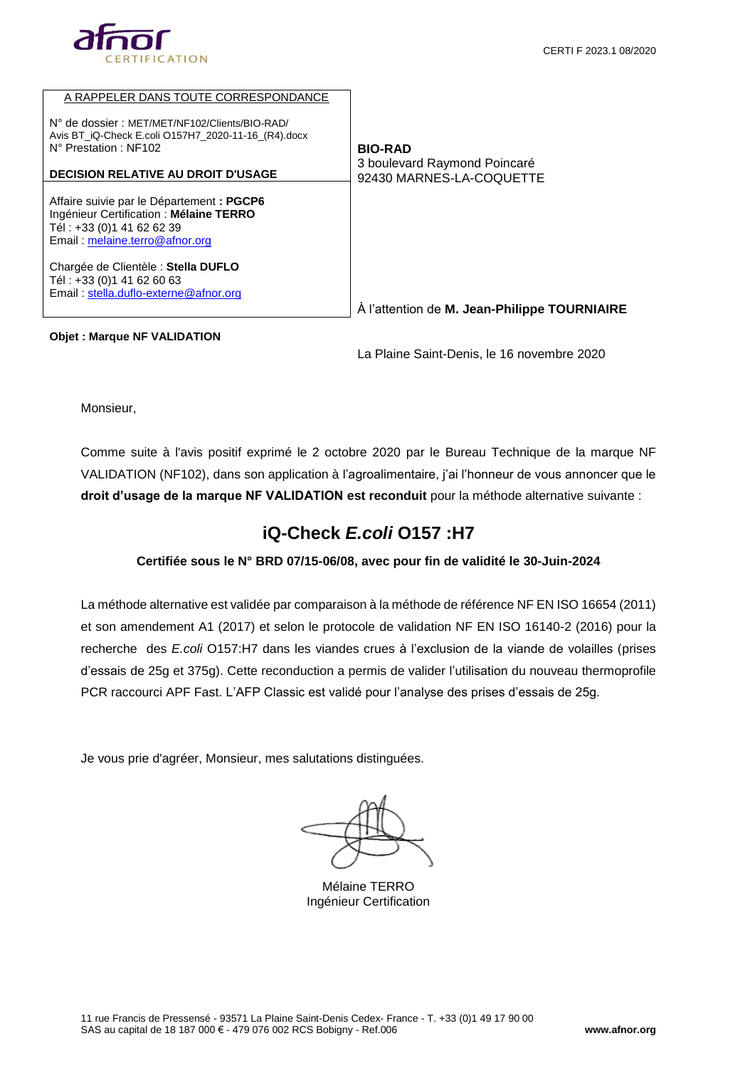

| A RAPPELER DANS TOUTE CORRESPONDANCE                                                                                                                |                                                          |
|-----------------------------------------------------------------------------------------------------------------------------------------------------|----------------------------------------------------------|
| N° de dossier: MET/MET/NF102/Clients/BIO-RAD/<br>Avis BT_iQ-Check E.coli O157H7_2020-11-16_(R4).docx<br>N° Prestation: NF102                        | <b>BIO-RAD</b>                                           |
| <b>DECISION RELATIVE AU DROIT D'USAGE</b>                                                                                                           | 3 boulevard Raymond Poincaré<br>92430 MARNES-LA-COQUETTE |
| Affaire suivie par le Département : PGCP6<br>Ingénieur Certification : Mélaine TERRO<br>Tél: +33 (0)1 41 62 62 39<br>Email: melaine.terro@afnor.org |                                                          |
| Chargée de Clientèle : Stella DUFLO<br>Tél: +33 (0)1 41 62 60 63<br>Email: stella.duflo-externe@afnor.org                                           |                                                          |
|                                                                                                                                                     | À l'attention de M. Jean-Philippe TOURNIAIRE             |

#### **Objet : Marque NF VALIDATION**

La Plaine Saint-Denis, le 16 novembre 2020

Monsieur,

Comme suite à l'avis positif exprimé le 2 octobre 2020 par le Bureau Technique de la marque NF VALIDATION (NF102), dans son application à l'agroalimentaire, j'ai l'honneur de vous annoncer que le **droit d'usage de la marque NF VALIDATION est reconduit** pour la méthode alternative suivante :

# **iQ-Check** *E.coli* **O157 :H7**

### **Certifiée sous le N° BRD 07/15-06/08, avec pour fin de validité le 30-Juin-2024**

La méthode alternative est validée par comparaison à la méthode de référence NF EN ISO 16654 (2011) et son amendement A1 (2017) et selon le protocole de validation NF EN ISO 16140-2 (2016) pour la recherche des *E.coli* O157:H7 dans les viandes crues à l'exclusion de la viande de volailles (prises d'essais de 25g et 375g). Cette reconduction a permis de valider l'utilisation du nouveau thermoprofile PCR raccourci APF Fast. L'AFP Classic est validé pour l'analyse des prises d'essais de 25g.

Je vous prie d'agréer, Monsieur, mes salutations distinguées.

Mélaine TERRO Ingénieur Certification